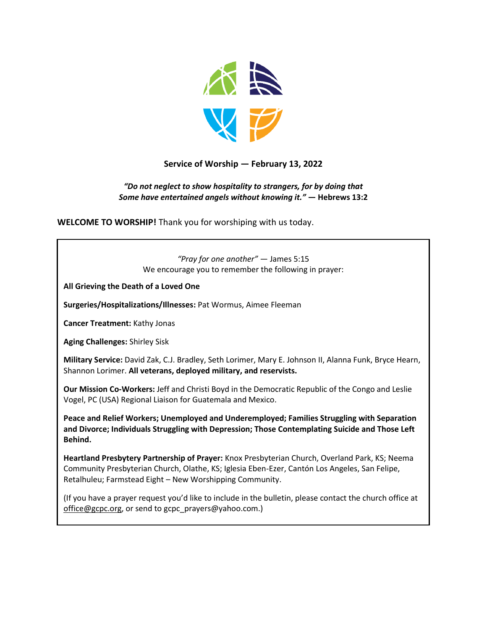

## **Service of Worship — February 13, 2022**

#### *"Do not neglect to show hospitality to strangers, for by doing that Some have entertained angels without knowing it."* **— Hebrews 13:2**

**WELCOME TO WORSHIP!** Thank you for worshiping with us today.

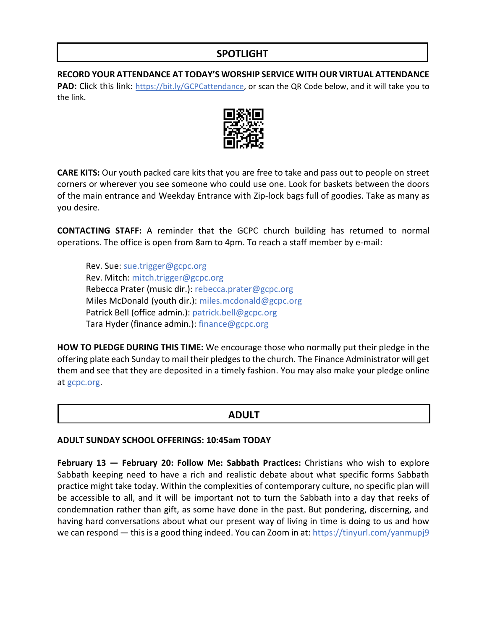# **SPOTLIGHT**

**RECORD YOUR ATTENDANCE AT TODAY'S WORSHIP SERVICE WITH OUR VIRTUAL ATTENDANCE**  PAD: Click this link: [https://bit.ly/GCPCattendance,](https://bit.ly/GCPCattendance) or scan the QR Code below, and it will take you to the link.



**CARE KITS:** Our youth packed care kits that you are free to take and pass out to people on street corners or wherever you see someone who could use one. Look for baskets between the doors of the main entrance and Weekday Entrance with Zip-lock bags full of goodies. Take as many as you desire.

**CONTACTING STAFF:** A reminder that the GCPC church building has returned to normal operations. The office is open from 8am to 4pm. To reach a staff member by e-mail:

Rev. Sue: [sue.trigger@gcpc.org](mailto:sue.trigger@gcpc.org) Rev. Mitch: [mitch.trigger@gcpc.org](mailto:mitch.trigger@gcpc.org) Rebecca Prater (music dir.): [rebecca.prater@gcpc.org](mailto:rebecca.prater@gcpc.org) Miles McDonald (youth dir.): [miles.mcdonald@gcpc.org](mailto:miles.mcdonald@gcpc.org) Patrick Bell (office admin.): [patrick.bell@gcpc.org](mailto:patrick.bell@gcpc.org) Tara Hyder (finance admin.): [finance@gcpc.org](mailto:finance@gcpc.org)

**HOW TO PLEDGE DURING THIS TIME:** We encourage those who normally put their pledge in the offering plate each Sunday to mail their pledges to the church. The Finance Administrator will get them and see that they are deposited in a timely fashion. You may also make your pledge online at [gcpc.org.](https://gcpc.org/about-us/donate.html)

### **ADULT**

#### **ADULT SUNDAY SCHOOL OFFERINGS: 10:45am TODAY**

**February 13 — February 20: Follow Me: Sabbath Practices:** Christians who wish to explore Sabbath keeping need to have a rich and realistic debate about what specific forms Sabbath practice might take today. Within the complexities of contemporary culture, no specific plan will be accessible to all, and it will be important not to turn the Sabbath into a day that reeks of condemnation rather than gift, as some have done in the past. But pondering, discerning, and having hard conversations about what our present way of living in time is doing to us and how we can respond — this is a good thing indeed. You can Zoom in at: https://tinyurl.com/yanmupj9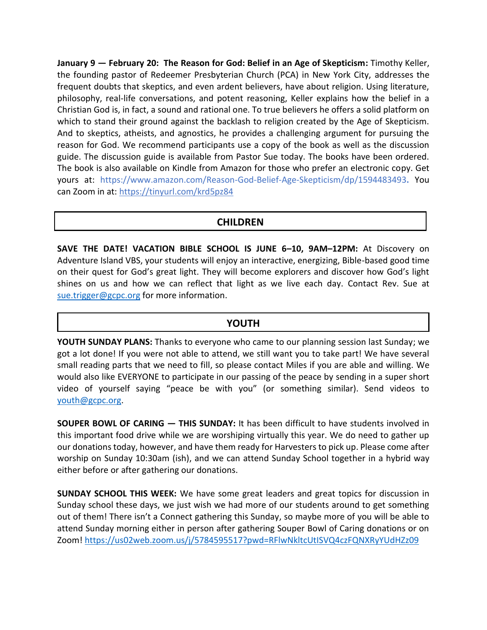**January 9 — February 20: The Reason for God: Belief in an Age of Skepticism:** Timothy Keller, the founding pastor of Redeemer Presbyterian Church (PCA) in New York City, addresses the frequent doubts that skeptics, and even ardent believers, have about religion. Using literature, philosophy, real-life conversations, and potent reasoning, Keller explains how the belief in a Christian God is, in fact, a sound and rational one. To true believers he offers a solid platform on which to stand their ground against the backlash to religion created by the Age of Skepticism. And to skeptics, atheists, and agnostics, he provides a challenging argument for pursuing the reason for God. We recommend participants use a copy of the book as well as the discussion guide. The discussion guide is available from Pastor Sue today. The books have been ordered. The book is also available on Kindle from Amazon for those who prefer an electronic copy. Get yours at: <https://www.amazon.com/Reason-God-Belief-Age-Skepticism/dp/1594483493>**.** You can Zoom in at:<https://tinyurl.com/krd5pz84>

## **CHILDREN**

**SAVE THE DATE! VACATION BIBLE SCHOOL IS JUNE 6–10, 9AM–12PM:** At Discovery on Adventure Island VBS, your students will enjoy an interactive, energizing, Bible-based good time on their quest for God's great light. They will become explorers and discover how God's light shines on us and how we can reflect that light as we live each day. Contact Rev. Sue at [sue.trigger@gcpc.org](mailto:sue.trigger@gcpc.org) for more information.

### **YOUTH**

**YOUTH SUNDAY PLANS:** Thanks to everyone who came to our planning session last Sunday; we got a lot done! If you were not able to attend, we still want you to take part! We have several small reading parts that we need to fill, so please contact Miles if you are able and willing. We would also like EVERYONE to participate in our passing of the peace by sending in a super short video of yourself saying "peace be with you" (or something similar). Send videos to [youth@gcpc.org.](mailto:youth@gcpc.org)

**SOUPER BOWL OF CARING — THIS SUNDAY:** It has been difficult to have students involved in this important food drive while we are worshiping virtually this year. We do need to gather up our donations today, however, and have them ready for Harvesters to pick up. Please come after worship on Sunday 10:30am (ish), and we can attend Sunday School together in a hybrid way either before or after gathering our donations.

**SUNDAY SCHOOL THIS WEEK:** We have some great leaders and great topics for discussion in Sunday school these days, we just wish we had more of our students around to get something out of them! There isn't a Connect gathering this Sunday, so maybe more of you will be able to attend Sunday morning either in person after gathering Souper Bowl of Caring donations or on Zoom!<https://us02web.zoom.us/j/5784595517?pwd=RFlwNkltcUtISVQ4czFQNXRyYUdHZz09>